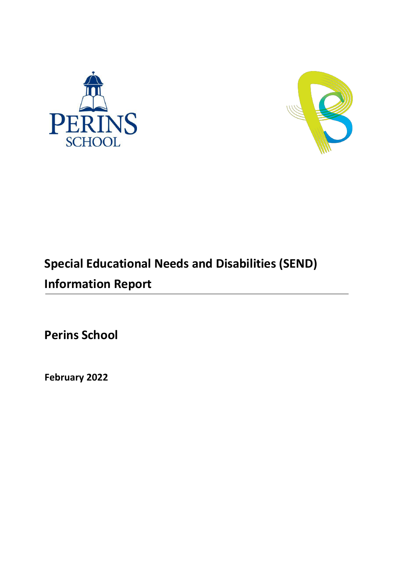



# **Special Educational Needs and Disabilities (SEND) Information Report**

**Perins School**

**February 2022**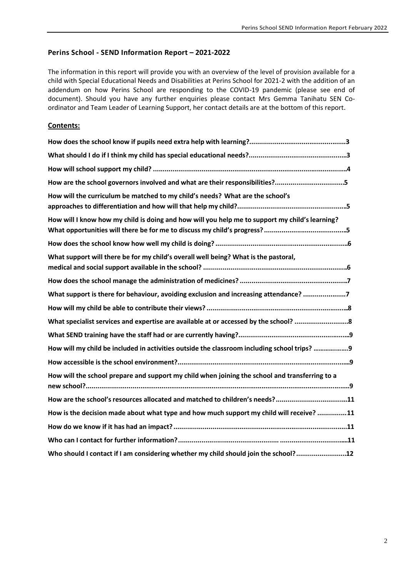# **Perins School - SEND Information Report – 2021-2022**

The information in this report will provide you with an overview of the level of provision available for a child with Special Educational Needs and Disabilities at Perins School for 2021-2 with the addition of an addendum on how Perins School are responding to the COVID-19 pandemic (please see end of document). Should you have any further enquiries please contact Mrs Gemma Tanihatu SEN Coordinator and Team Leader of Learning Support, her contact details are at the bottom of this report.

# **Contents:**

| How are the school governors involved and what are their responsibilities?5                    |
|------------------------------------------------------------------------------------------------|
| How will the curriculum be matched to my child's needs? What are the school's                  |
| How will I know how my child is doing and how will you help me to support my child's learning? |
|                                                                                                |
| What support will there be for my child's overall well being? What is the pastoral,            |
|                                                                                                |
| What support is there for behaviour, avoiding exclusion and increasing attendance? 7           |
|                                                                                                |
|                                                                                                |
|                                                                                                |
| How will my child be included in activities outside the classroom including school trips? 9    |
|                                                                                                |
| How will the school prepare and support my child when joining the school and transferring to a |
| How are the school's resources allocated and matched to children's needs?11                    |
| How is the decision made about what type and how much support my child will receive? 11        |
|                                                                                                |
|                                                                                                |
| Who should I contact if I am considering whether my child should join the school?12            |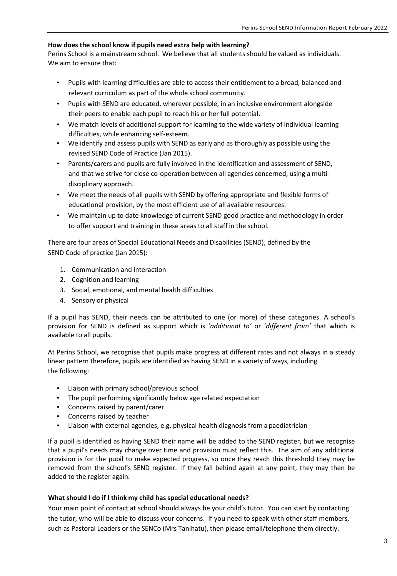## **How does the school know if pupils need extra help with learning?**

Perins School is a mainstream school. We believe that all students should be valued as individuals. We aim to ensure that:

- Pupils with learning difficulties are able to access their entitlement to a broad, balanced and relevant curriculum as part of the whole school community.
- Pupils with SEND are educated, wherever possible, in an inclusive environment alongside their peers to enable each pupil to reach his or her full potential.
- We match levels of additional support for learning to the wide variety of individual learning difficulties, while enhancing self-esteem.
- We identify and assess pupils with SEND as early and as thoroughly as possible using the revised SEND Code of Practice (Jan 2015).
- Parents/carers and pupils are fully involved in the identification and assessment of SEND, and that we strive for close co-operation between all agencies concerned, using a multidisciplinary approach.
- We meet the needs of all pupils with SEND by offering appropriate and flexible forms of educational provision, by the most efficient use of all available resources.
- We maintain up to date knowledge of current SEND good practice and methodology in order to offer support and training in these areas to all staff in the school.

There are four areas of Special Educational Needs and Disabilities (SEND), defined by the SEND Code of practice (Jan 2015):

- 1. Communication and interaction
- 2. Cognition and learning
- 3. Social, emotional, and mental health difficulties
- 4. Sensory or physical

If a pupil has SEND, their needs can be attributed to one (or more) of these categories. A school's provision for SEND is defined as support which is '*additional to'* or '*different from'* that which is available to all pupils.

At Perins School, we recognise that pupils make progress at different rates and not always in a steady linear pattern therefore, pupils are identified as having SEND in a variety of ways, including the following:

- Liaison with primary school/previous school
- The pupil performing significantly below age related expectation
- Concerns raised by parent/carer
- Concerns raised by teacher
- Liaison with external agencies, e.g. physical health diagnosis from a paediatrician

If a pupil is identified as having SEND their name will be added to the SEND register, but we recognise that a pupil's needs may change over time and provision must reflect this. The aim of any additional provision is for the pupil to make expected progress, so once they reach this threshold they may be removed from the school's SEND register. If they fall behind again at any point, they may then be added to the register again.

## **What should I do if I think my child has special educational needs?**

Your main point of contact at school should always be your child's tutor. You can start by contacting the tutor, who will be able to discuss your concerns. If you need to speak with other staff members, such as Pastoral Leaders or the SENCo (Mrs Tanihatu), then please email/telephone them directly.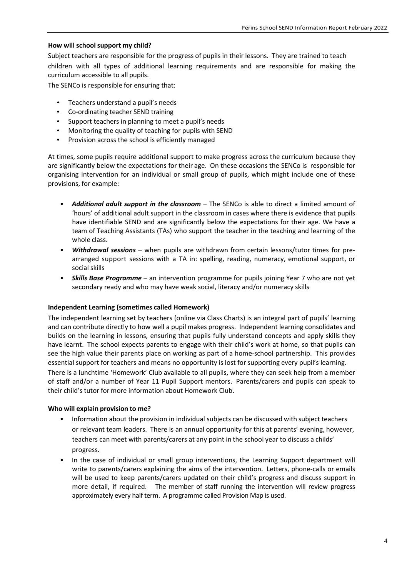## **How will school support my child?**

Subject teachers are responsible for the progress of pupils in their lessons. They are trained to teach children with all types of additional learning requirements and are responsible for making the curriculum accessible to all pupils.

The SENCo is responsible for ensuring that:

- Teachers understand a pupil's needs
- Co-ordinating teacher SEND training
- Support teachers in planning to meet a pupil's needs
- Monitoring the quality of teaching for pupils with SEND
- Provision across the school is efficiently managed

At times, some pupils require additional support to make progress across the curriculum because they are significantly below the expectations for their age. On these occasions the SENCo is responsible for organising intervention for an individual or small group of pupils, which might include one of these provisions, for example:

- **Additional adult support in the classroom** The SENCo is able to direct a limited amount of 'hours' of additional adult support in the classroom in cases where there is evidence that pupils have identifiable SEND and are significantly below the expectations for their age. We have a team of Teaching Assistants (TAs) who support the teacher in the teaching and learning of the whole class.
- *Withdrawal sessions* when pupils are withdrawn from certain lessons/tutor times for prearranged support sessions with a TA in: spelling, reading, numeracy, emotional support, or social skills
- *Skills Base Programme* an intervention programme for pupils joining Year 7 who are not yet secondary ready and who may have weak social, literacy and/or numeracy skills

## **Independent Learning (sometimes called Homework)**

The independent learning set by teachers (online via Class Charts) is an integral part of pupils' learning and can contribute directly to how well a pupil makes progress. Independent learning consolidates and builds on the learning in lessons, ensuring that pupils fully understand concepts and apply skills they have learnt. The school expects parents to engage with their child's work at home, so that pupils can see the high value their parents place on working as part of a home-school partnership. This provides essential support for teachers and means no opportunity is lost for supporting every pupil's learning. There is a lunchtime 'Homework' Club available to all pupils, where they can seek help from a member of staff and/or a number of Year 11 Pupil Support mentors. Parents/carers and pupils can speak to their child's tutor for more information about Homework Club.

## **Who will explain provision to me?**

- Information about the provision in individual subjects can be discussed with subject teachers or relevant team leaders. There is an annual opportunity for this at parents' evening, however, teachers can meet with parents/carers at any point in the school year to discuss a childs' progress.
- In the case of individual or small group interventions, the Learning Support department will write to parents/carers explaining the aims of the intervention. Letters, phone-calls or emails will be used to keep parents/carers updated on their child's progress and discuss support in more detail, if required. The member of staff running the intervention will review progress approximately every half term. A programme called Provision Map is used.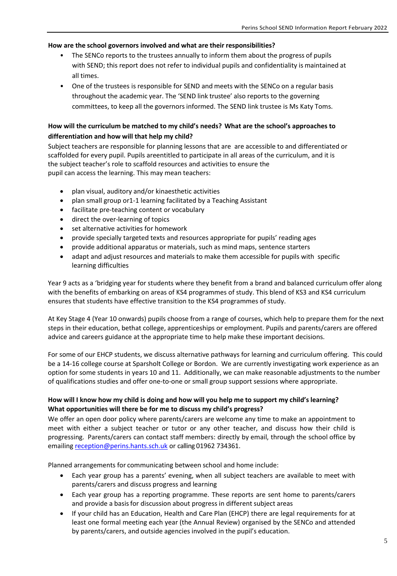## **How are the school governors involved and what are their responsibilities?**

- The SENCo reports to the trustees annually to inform them about the progress of pupils with SEND; this report does not refer to individual pupils and confidentiality is maintained at all times.
- One of the trustees is responsible for SEND and meets with the SENCo on a regular basis throughout the academic year. The 'SEND link trustee' also reports to the governing committees, to keep all the governors informed. The SEND link trustee is Ms Katy Toms.

# **How will the curriculum be matched to my child's needs? What are the school's approaches to differentiation and how will that help my child?**

Subject teachers are responsible for planning lessons that are are accessible to and differentiated or scaffolded for every pupil. Pupils areentitled to participate in all areas of the curriculum, and it is the subject teacher's role to scaffold resources and activities to ensure the pupil can access the learning. This may mean teachers:

- plan visual, auditory and/or kinaesthetic activities
- plan small group or1-1 learning facilitated by a Teaching Assistant
- facilitate pre-teaching content or vocabulary
- direct the over-learning of topics
- set alternative activities for homework
- provide specially targeted texts and resources appropriate for pupils' reading ages
- provide additional apparatus or materials, such as mind maps, sentence starters
- adapt and adjust resources and materials to make them accessible for pupils with specific learning difficulties

Year 9 acts as a 'bridging year for students where they benefit from a brand and balanced curriculum offer along with the benefits of embarking on areas of KS4 programmes of study. This blend of KS3 and KS4 curriculum ensures that students have effective transition to the KS4 programmes of study.

At Key Stage 4 (Year 10 onwards) pupils choose from a range of courses, which help to prepare them for the next steps in their education, bethat college, apprenticeships or employment. Pupils and parents/carers are offered advice and careers guidance at the appropriate time to help make these important decisions.

For some of our EHCP students, we discuss alternative pathways for learning and curriculum offering. This could be a 14-16 college course at Sparsholt College or Bordon. We are currently investigating work experience as an option for some students in years 10 and 11. Additionally, we can make reasonable adjustments to the number of qualifications studies and offer one-to-one or small group support sessions where appropriate.

# **How will I know how my child is doing and how will you help me to support my child's learning? What opportunities will there be for me to discuss my child's progress?**

We offer an open door policy where parents/carers are welcome any time to make an appointment to meet with either a subject teacher or tutor or any other teacher, and discuss how their child is progressing. Parents/carers can contact staff members: directly by email, through the school office by emailin[g reception@perins.hants.sch.uk](mailto:reception@perins.hants.sch.uk) or calling 01962 734361.

Planned arrangements for communicating between school and home include:

- Each year group has a parents' evening, when all subject teachers are available to meet with parents/carers and discuss progress and learning
- Each year group has a reporting programme. These reports are sent home to parents/carers and provide a basis for discussion about progress in different subject areas
- If your child has an Education, Health and Care Plan (EHCP) there are legal requirements for at least one formal meeting each year (the Annual Review) organised by the SENCo and attended by parents/carers, and outside agencies involved in the pupil's education.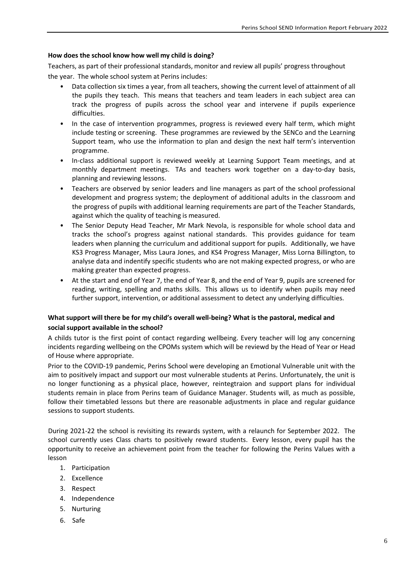## **How does the school know how well my child is doing?**

Teachers, as part of their professional standards, monitor and review all pupils' progress throughout the year. The whole school system at Perins includes:

- Data collection six times a year, from all teachers, showing the current level of attainment of all the pupils they teach. This means that teachers and team leaders in each subject area can track the progress of pupils across the school year and intervene if pupils experience difficulties.
- In the case of intervention programmes, progress is reviewed every half term, which might include testing or screening. These programmes are reviewed by the SENCo and the Learning Support team, who use the information to plan and design the next half term's intervention programme.
- In-class additional support is reviewed weekly at Learning Support Team meetings, and at monthly department meetings. TAs and teachers work together on a day-to-day basis, planning and reviewing lessons.
- Teachers are observed by senior leaders and line managers as part of the school professional development and progress system; the deployment of additional adults in the classroom and the progress of pupils with additional learning requirements are part of the Teacher Standards, against which the quality of teaching is measured.
- The Senior Deputy Head Teacher, Mr Mark Nevola, is responsible for whole school data and tracks the school's progress against national standards. This provides guidance for team leaders when planning the curriculum and additional support for pupils. Additionally, we have KS3 Progress Manager, Miss Laura Jones, and KS4 Progress Manager, Miss Lorna Billington, to analyse data and indentify specific students who are not making expected progress, or who are making greater than expected progress.
- At the start and end of Year 7, the end of Year 8, and the end of Year 9, pupils are screened for reading, writing, spelling and maths skills. This allows us to identify when pupils may need further support, intervention, or additional assessment to detect any underlying difficulties.

# **What support will there be for my child's overall well-being? What is the pastoral, medical and social support available in the school?**

A childs tutor is the first point of contact regarding wellbeing. Every teacher will log any concerning incidents regarding wellbeing on the CPOMs system which will be reviewd by the Head of Year or Head of House where appropriate.

Prior to the COVID-19 pandemic, Perins School were developing an Emotional Vulnerable unit with the aim to positively impact and support our most vulnerable students at Perins. Unfortunately, the unit is no longer functioning as a physical place, however, reintegtraion and support plans for individual students remain in place from Perins team of Guidance Manager. Students will, as much as possible, follow their timetabled lessons but there are reasonable adjustments in place and regular guidance sessions to support students.

During 2021-22 the school is revisiting its rewards system, with a relaunch for September 2022. The school currently uses Class charts to positively reward students. Every lesson, every pupil has the opportunity to receive an achievement point from the teacher for following the Perins Values with a lesson

- 1. Participation
- 2. Excellence
- 3. Respect
- 4. Independence
- 5. Nurturing
- 6. Safe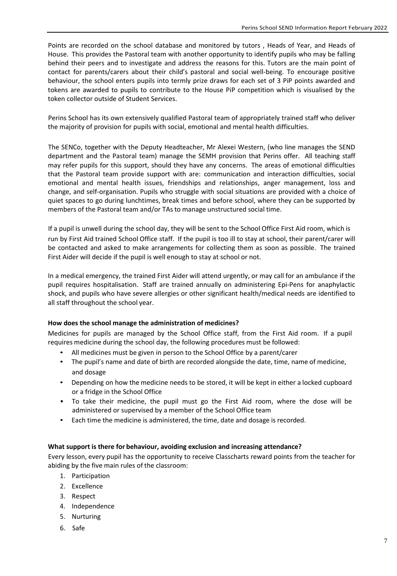Points are recorded on the school database and monitored by tutors , Heads of Year, and Heads of House. This provides the Pastoral team with another opportunity to identify pupils who may be falling behind their peers and to investigate and address the reasons for this. Tutors are the main point of contact for parents/carers about their child's pastoral and social well-being. To encourage positive behaviour, the school enters pupils into termly prize draws for each set of 3 PiP points awarded and tokens are awarded to pupils to contribute to the House PiP competition which is visualised by the token collector outside of Student Services.

Perins School has its own extensively qualified Pastoral team of appropriately trained staff who deliver the majority of provision for pupils with social, emotional and mental health difficulties.

The SENCo, together with the Deputy Headteacher, Mr Alexei Western, (who line manages the SEND department and the Pastoral team) manage the SEMH provision that Perins offer. All teaching staff may refer pupils for this support, should they have any concerns. The areas of emotional difficulties that the Pastoral team provide support with are: communication and interaction difficulties, social emotional and mental health issues, friendships and relationships, anger management, loss and change, and self-organisation. Pupils who struggle with social situations are provided with a choice of quiet spaces to go during lunchtimes, break times and before school, where they can be supported by members of the Pastoral team and/or TAsto manage unstructured social time.

If a pupil is unwell during the school day, they will be sent to the School Office First Aid room, which is run by First Aid trained School Office staff. If the pupil is too ill to stay at school, their parent/carer will be contacted and asked to make arrangements for collecting them as soon as possible. The trained First Aider will decide if the pupil is well enough to stay at school or not.

In a medical emergency, the trained First Aider will attend urgently, or may call for an ambulance if the pupil requires hospitalisation. Staff are trained annually on administering Epi-Pens for anaphylactic shock, and pupils who have severe allergies or other significant health/medical needs are identified to all staff throughout the school year.

# **How does the school manage the administration of medicines?**

Medicines for pupils are managed by the School Office staff, from the First Aid room. If a pupil requires medicine during the school day, the following procedures must be followed:

- All medicines must be given in person to the School Office by a parent/carer
- The pupil's name and date of birth are recorded alongside the date, time, name of medicine, and dosage
- Depending on how the medicine needs to be stored, it will be kept in either a locked cupboard or a fridge in the School Office
- To take their medicine, the pupil must go the First Aid room, where the dose will be administered or supervised by a member of the School Office team
- Each time the medicine is administered, the time, date and dosage is recorded.

## **What support is there for behaviour, avoiding exclusion and increasing attendance?**

Every lesson, every pupil has the opportunity to receive Classcharts reward points from the teacher for abiding by the five main rules of the classroom:

- 1. Participation
- 2. Excellence
- 3. Respect
- 4. Independence
- 5. Nurturing
- 6. Safe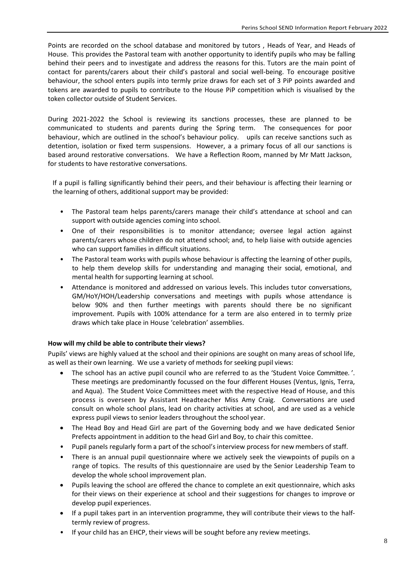Points are recorded on the school database and monitored by tutors , Heads of Year, and Heads of House. This provides the Pastoral team with another opportunity to identify pupils who may be falling behind their peers and to investigate and address the reasons for this. Tutors are the main point of contact for parents/carers about their child's pastoral and social well-being. To encourage positive behaviour, the school enters pupils into termly prize draws for each set of 3 PiP points awarded and tokens are awarded to pupils to contribute to the House PiP competition which is visualised by the token collector outside of Student Services.

During 2021-2022 the School is reviewing its sanctions processes, these are planned to be communicated to students and parents during the Spring term. The consequences for poor behaviour, which are outlined in the school's behaviour policy. upils can receive sanctions such as detention, isolation or fixed term suspensions. However, a a primary focus of all our sanctions is based around restorative conversations. We have a Reflection Room, manned by Mr Matt Jackson, for students to have restorative conversations.

If a pupil is falling significantly behind their peers, and their behaviour is affecting their learning or the learning of others, additional support may be provided:

- The Pastoral team helps parents/carers manage their child's attendance at school and can support with outside agencies coming into school.
- One of their responsibilities is to monitor attendance; oversee legal action against parents/carers whose children do not attend school; and, to help liaise with outside agencies who can support families in difficult situations.
- The Pastoral team works with pupils whose behaviour is affecting the learning of other pupils, to help them develop skills for understanding and managing their social, emotional, and mental health for supporting learning at school.
- Attendance is monitored and addressed on various levels. This includes tutor conversations, GM/HoY/HOH/Leadership conversations and meetings with pupils whose attendance is below 90% and then further meetings with parents should there be no significant improvement. Pupils with 100% attendance for a term are also entered in to termly prize draws which take place in House 'celebration' assemblies.

## **How will my child be able to contribute their views?**

Pupils' views are highly valued at the school and their opinions are sought on many areas of school life, as well as their own learning. We use a variety of methods for seeking pupil views:

- The school has an active pupil council who are referred to as the 'Student Voice Committee. '. These meetings are predominantly focussed on the four different Houses (Ventus, Ignis, Terra, and Aqua). The Student Voice Committees meet with the respective Head of House, and this process is overseen by Assistant Headteacher Miss Amy Craig. Conversations are used consult on whole school plans, lead on charity activities at school, and are used as a vehicle express pupil views to senior leaders throughout the school year.
- The Head Boy and Head Girl are part of the Governing body and we have dedicated Senior Prefects appointment in addition to the head Girl and Boy, to chair this comittee.
- Pupil panels regularly form a part of the school's interview process for new members of staff.
- There is an annual pupil questionnaire where we actively seek the viewpoints of pupils on a range of topics. The results of this questionnaire are used by the Senior Leadership Team to develop the whole school improvement plan.
- Pupils leaving the school are offered the chance to complete an exit questionnaire, which asks for their views on their experience at school and their suggestions for changes to improve or develop pupil experiences.
- If a pupil takes part in an intervention programme, they will contribute their views to the halftermly review of progress.
- If your child has an EHCP, their views will be sought before any review meetings.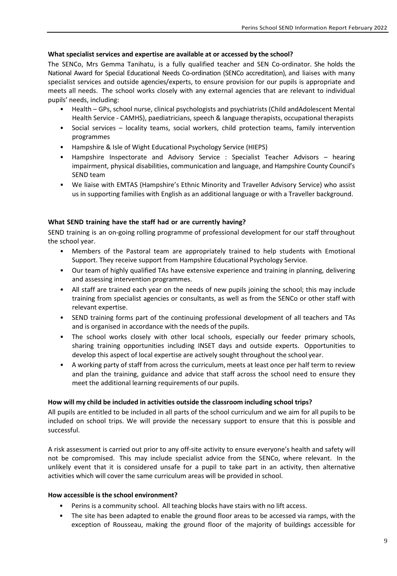# **What specialist services and expertise are available at or accessed by the school?**

The SENCo, Mrs Gemma Tanihatu, is a fully qualified teacher and SEN Co-ordinator. She holds the National Award for Special Educational Needs Co-ordination (SENCo accreditation), and liaises with many specialist services and outside agencies/experts, to ensure provision for our pupils is appropriate and meets all needs. The school works closely with any external agencies that are relevant to individual pupils' needs, including:

- Health GPs, school nurse, clinical psychologists and psychiatrists (Child andAdolescent Mental Health Service - CAMHS), paediatricians, speech & language therapists, occupational therapists
- Social services locality teams, social workers, child protection teams, family intervention programmes
- Hampshire & Isle of Wight Educational Psychology Service (HIEPS)
- Hampshire Inspectorate and Advisory Service : Specialist Teacher Advisors hearing impairment, physical disabilities, communication and language, and Hampshire County Council's SEND team
- We liaise with EMTAS (Hampshire's Ethnic Minority and Traveller Advisory Service) who assist us in supporting families with English as an additional language or with a Traveller background.

# **What SEND training have the staff had or are currently having?**

SEND training is an on-going rolling programme of professional development for our staff throughout the school year.

- Members of the Pastoral team are appropriately trained to help students with Emotional Support. They receive support from Hampshire Educational Psychology Service.
- Our team of highly qualified TAs have extensive experience and training in planning, delivering and assessing intervention programmes.
- All staff are trained each year on the needs of new pupils joining the school; this may include training from specialist agencies or consultants, as well as from the SENCo or other staff with relevant expertise.
- SEND training forms part of the continuing professional development of all teachers and TAs and is organised in accordance with the needs of the pupils.
- The school works closely with other local schools, especially our feeder primary schools, sharing training opportunities including INSET days and outside experts. Opportunities to develop this aspect of local expertise are actively sought throughout the school year.
- A working party of staff from across the curriculum, meets at least once per half term to review and plan the training, guidance and advice that staff across the school need to ensure they meet the additional learning requirements of our pupils.

# **How will my child be included in activities outside the classroom including school trips?**

All pupils are entitled to be included in all parts of the school curriculum and we aim for all pupils to be included on school trips. We will provide the necessary support to ensure that this is possible and successful.

A risk assessment is carried out prior to any off-site activity to ensure everyone's health and safety will not be compromised. This may include specialist advice from the SENCo, where relevant. In the unlikely event that it is considered unsafe for a pupil to take part in an activity, then alternative activities which will cover the same curriculum areas will be provided in school.

# **How accessible is the school environment?**

- Perins is a community school. All teaching blocks have stairs with no lift access.
- The site has been adapted to enable the ground floor areas to be accessed via ramps, with the exception of Rousseau, making the ground floor of the majority of buildings accessible for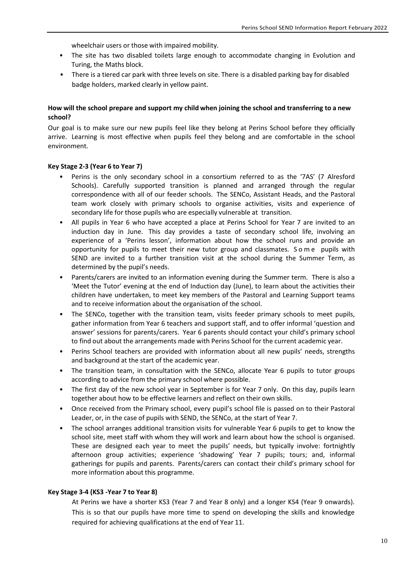wheelchair users or those with impaired mobility.

- The site has two disabled toilets large enough to accommodate changing in Evolution and Turing, the Maths block.
- There is a tiered car park with three levels on site. There is a disabled parking bay for disabled badge holders, marked clearly in yellow paint.

## **How will the school prepare and support my child when joining the school and transferring to a new school?**

Our goal is to make sure our new pupils feel like they belong at Perins School before they officially arrive. Learning is most effective when pupils feel they belong and are comfortable in the school environment.

## **Key Stage 2-3 (Year 6 to Year 7)**

- Perins is the only secondary school in a consortium referred to as the '7AS' (7 Alresford Schools). Carefully supported transition is planned and arranged through the regular correspondence with all of our feeder schools. The SENCo, Assistant Heads, and the Pastoral team work closely with primary schools to organise activities, visits and experience of secondary life for those pupils who are especially vulnerable at transition.
- All pupils in Year 6 who have accepted a place at Perins School for Year 7 are invited to an induction day in June. This day provides a taste of secondary school life, involving an experience of a 'Perins lesson', information about how the school runs and provide an opportunity for pupils to meet their new tutor group and classmates. S o m e pupils with SEND are invited to a further transition visit at the school during the Summer Term, as determined by the pupil's needs.
- Parents/carers are invited to an information evening during the Summer term. There is also a 'Meet the Tutor' evening at the end of Induction day (June), to learn about the activities their children have undertaken, to meet key members of the Pastoral and Learning Support teams and to receive information about the organisation of the school.
- The SENCo, together with the transition team, visits feeder primary schools to meet pupils, gather information from Year 6 teachers and support staff, and to offer informal 'question and answer' sessions for parents/carers. Year 6 parents should contact your child's primary school to find out about the arrangements made with Perins School for the current academic year.
- Perins School teachers are provided with information about all new pupils' needs, strengths and background at the start of the academic year.
- The transition team, in consultation with the SENCo, allocate Year 6 pupils to tutor groups according to advice from the primary school where possible.
- The first day of the new school year in September is for Year 7 only. On this day, pupils learn together about how to be effective learners and reflect on their own skills.
- Once received from the Primary school, every pupil's school file is passed on to their Pastoral Leader, or, in the case of pupils with SEND, the SENCo, at the start of Year 7.
- The school arranges additional transition visits for vulnerable Year 6 pupils to get to know the school site, meet staff with whom they will work and learn about how the school is organised. These are designed each year to meet the pupils' needs, but typically involve: fortnightly afternoon group activities; experience 'shadowing' Year 7 pupils; tours; and, informal gatherings for pupils and parents. Parents/carers can contact their child's primary school for more information about this programme.

## **Key Stage 3-4 (KS3 -Year 7 to Year 8)**

At Perins we have a shorter KS3 (Year 7 and Year 8 only) and a longer KS4 (Year 9 onwards). This is so that our pupils have more time to spend on developing the skills and knowledge required for achieving qualifications at the end of Year 11.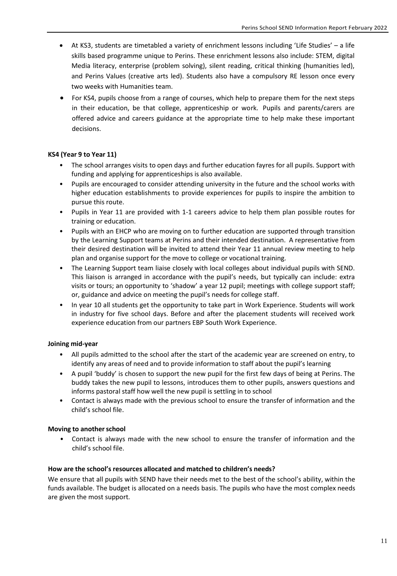- At KS3, students are timetabled a variety of enrichment lessons including 'Life Studies' a life skills based programme unique to Perins. These enrichment lessons also include: STEM, digital Media literacy, enterprise (problem solving), silent reading, critical thinking (humanities led), and Perins Values (creative arts led). Students also have a compulsory RE lesson once every two weeks with Humanities team.
- For KS4, pupils choose from a range of courses, which help to prepare them for the next steps in their education, be that college, apprenticeship or work. Pupils and parents/carers are offered advice and careers guidance at the appropriate time to help make these important decisions.

## **KS4 (Year 9 to Year 11)**

- The school arranges visits to open days and further education fayres for all pupils. Support with funding and applying for apprenticeships is also available.
- Pupils are encouraged to consider attending university in the future and the school works with higher education establishments to provide experiences for pupils to inspire the ambition to pursue this route.
- Pupils in Year 11 are provided with 1-1 careers advice to help them plan possible routes for training or education.
- Pupils with an EHCP who are moving on to further education are supported through transition by the Learning Support teams at Perins and their intended destination. A representative from their desired destination will be invited to attend their Year 11 annual review meeting to help plan and organise support for the move to college or vocational training.
- The Learning Support team liaise closely with local colleges about individual pupils with SEND. This liaison is arranged in accordance with the pupil's needs, but typically can include: extra visits or tours; an opportunity to 'shadow' a year 12 pupil; meetings with college support staff; or, guidance and advice on meeting the pupil's needs for college staff.
- In year 10 all students get the opportunity to take part in Work Experience. Students will work in industry for five school days. Before and after the placement students will received work experience education from our partners EBP South Work Experience.

# **Joining mid-year**

- All pupils admitted to the school after the start of the academic year are screened on entry, to identify any areas of need and to provide information to staff about the pupil's learning
- A pupil 'buddy' is chosen to support the new pupil for the first few days of being at Perins. The buddy takes the new pupil to lessons, introduces them to other pupils, answers questions and informs pastoral staff how well the new pupil is settling in to school
- Contact is always made with the previous school to ensure the transfer of information and the child's school file.

## **Moving to anotherschool**

• Contact is always made with the new school to ensure the transfer of information and the child's school file.

## **How are the school's resources allocated and matched to children's needs?**

We ensure that all pupils with SEND have their needs met to the best of the school's ability, within the funds available. The budget is allocated on a needs basis. The pupils who have the most complex needs are given the most support.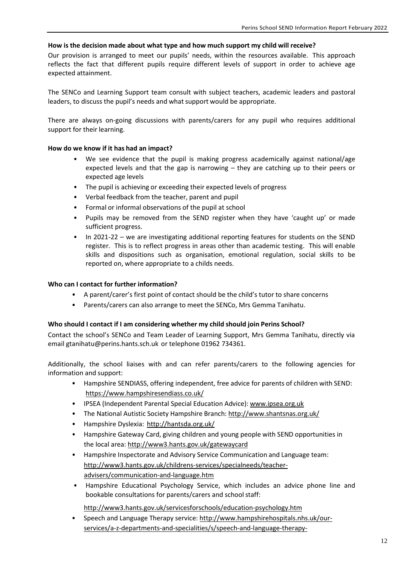## **How is the decision made about what type and how much support my child will receive?**

Our provision is arranged to meet our pupils' needs, within the resources available. This approach reflects the fact that different pupils require different levels of support in order to achieve age expected attainment.

The SENCo and Learning Support team consult with subject teachers, academic leaders and pastoral leaders, to discuss the pupil's needs and what support would be appropriate.

There are always on-going discussions with parents/carers for any pupil who requires additional support for their learning.

## **How do we know if it has had an impact?**

- We see evidence that the pupil is making progress academically against national/age expected levels and that the gap is narrowing – they are catching up to their peers or expected age levels
- The pupil is achieving or exceeding their expected levels of progress
- Verbal feedback from the teacher, parent and pupil
- Formal or informal observations of the pupil at school
- Pupils may be removed from the SEND register when they have 'caught up' or made sufficient progress.
- In 2021-22 we are investigating additional reporting features for students on the SEND register. This is to reflect progress in areas other than academic testing. This will enable skills and dispositions such as organisation, emotional regulation, social skills to be reported on, where appropriate to a childs needs.

## **Who can I contact for further information?**

- A parent/carer's first point of contact should be the child's tutor to share concerns
- Parents/carers can also arrange to meet the SENCo, Mrs Gemma Tanihatu.

## **Who should I contact if I am considering whether my child should join Perins School?**

Contact the school's SENCo and Team Leader of Learning Support, Mrs Gemma Tanihatu, directly via email gtanihatu@perins.hants.sch.uk or telephone 01962 734361.

Additionally, the school liaises with and can refer parents/carers to the following agencies for information and support:

- Hampshire SENDIASS, offering independent, free advice for parents of children with SEND: <https://www.hampshiresendiass.co.uk/>
- IPSEA (Independent Parental Special Education Advice): [www.ipsea.org.uk](http://www.shantsnas.org.uk/)
- The National Autistic Society [Hampshire](http://hantsda.org.uk/) Branch: <http://www.shantsnas.org.uk/>
- Hampshire Dyslexia: [http://hantsda.org.uk/](http://www3.hants.gov.uk/parentvoice)
- Hampshire Gateway Card, [giving children](http://www3.hants.gov.uk/parentvoice) and young people with SEND opportunities in the local area: <http://www3.hants.gov.uk/gatewaycard>
- Hampshire Inspectorate and Advisory Service Communication and Language team: [http://www3.hants.gov.uk/childrens-services/specialneeds/teacher](http://www3.hants.gov.uk/childrens-services/specialneeds/teacher-advisers/communication-and-language.htm)[advisers/communication-and-language.htm](http://www3.hants.gov.uk/childrens-services/specialneeds/teacher-advisers/communication-and-language.htm)
- [Hampshire Educational](http://www3.hants.gov.uk/childrens-services/specialneeds/teacher-advisers/communication-and-language.htm) Psychology Service, which includes an advice phone line and bookable consultations for parents/carers and school staff:

## <http://www3.hants.gov.uk/servicesforschools/education-psychology.htm>

• Speech and Language Therapy service: [http://www.hampshirehospitals.nhs.uk/our](http://www3.hants.gov.uk/servicesforschools/education-psychology.htm)[services/a-z-departments-and-specialities/s/speech-and-language-therapy-](http://www.hampshirehospitals.nhs.uk/our-services/a-z-departments-and-specialities/s/speech-and-language-therapy-(paediatric).aspx)